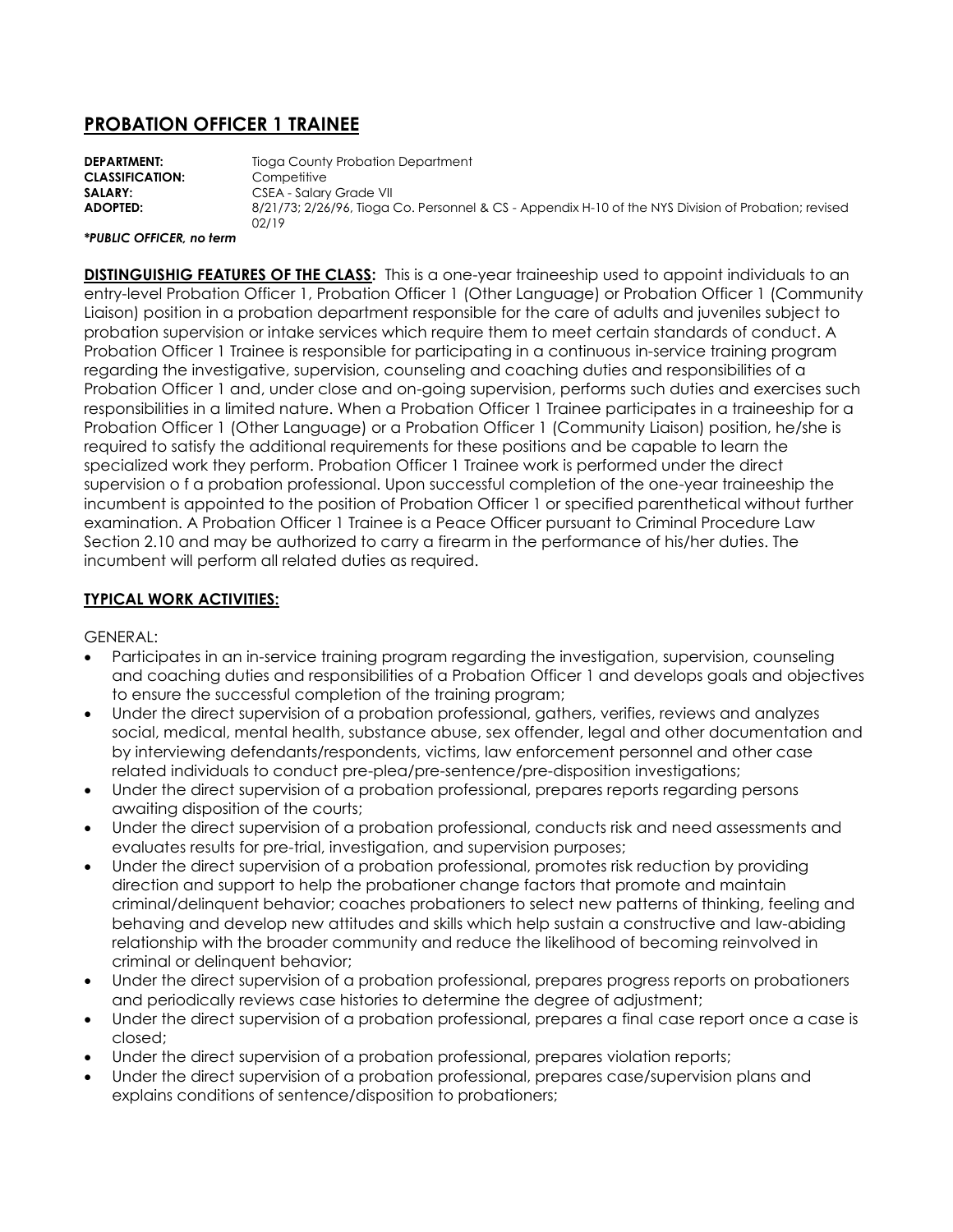# **PROBATION OFFICER 1 TRAINEE**

**DEPARTMENT:** Tioga County Probation Department **CLASSIFICATION:** Competitive **SALARY:** CSEA - Salary Grade VII **ADOPTED:** 8/21/73; 2/26/96, Tioga Co. Personnel & CS - Appendix H-10 of the NYS Division of Probation; revised 02/19

#### *\*PUBLIC OFFICER, no term*

**DISTINGUISHIG FEATURES OF THE CLASS:** This is a one-year traineeship used to appoint individuals to an entry-level Probation Officer 1, Probation Officer 1 (Other Language) or Probation Officer 1 (Community Liaison) position in a probation department responsible for the care of adults and juveniles subject to probation supervision or intake services which require them to meet certain standards of conduct. A Probation Officer 1 Trainee is responsible for participating in a continuous in-service training program regarding the investigative, supervision, counseling and coaching duties and responsibilities of a Probation Officer 1 and, under close and on-going supervision, performs such duties and exercises such responsibilities in a limited nature. When a Probation Officer 1 Trainee participates in a traineeship for a Probation Officer 1 (Other Language) or a Probation Officer 1 (Community Liaison) position, he/she is required to satisfy the additional requirements for these positions and be capable to learn the specialized work they perform. Probation Officer 1 Trainee work is performed under the direct supervision o f a probation professional. Upon successful completion of the one-year traineeship the incumbent is appointed to the position of Probation Officer 1 or specified parenthetical without further examination. A Probation Officer 1 Trainee is a Peace Officer pursuant to Criminal Procedure Law Section 2.10 and may be authorized to carry a firearm in the performance of his/her duties. The incumbent will perform all related duties as required.

### **TYPICAL WORK ACTIVITIES:**

GENERAL:

- Participates in an in-service training program regarding the investigation, supervision, counseling and coaching duties and responsibilities of a Probation Officer 1 and develops goals and objectives to ensure the successful completion of the training program;
- Under the direct supervision of a probation professional, gathers, verifies, reviews and analyzes social, medical, mental health, substance abuse, sex offender, legal and other documentation and by interviewing defendants/respondents, victims, law enforcement personnel and other case related individuals to conduct pre-plea/pre-sentence/pre-disposition investigations;
- Under the direct supervision of a probation professional, prepares reports regarding persons awaiting disposition of the courts;
- Under the direct supervision of a probation professional, conducts risk and need assessments and evaluates results for pre-trial, investigation, and supervision purposes;
- Under the direct supervision of a probation professional, promotes risk reduction by providing direction and support to help the probationer change factors that promote and maintain criminal/delinquent behavior; coaches probationers to select new patterns of thinking, feeling and behaving and develop new attitudes and skills which help sustain a constructive and law-abiding relationship with the broader community and reduce the likelihood of becoming reinvolved in criminal or delinquent behavior;
- Under the direct supervision of a probation professional, prepares progress reports on probationers and periodically reviews case histories to determine the degree of adjustment;
- Under the direct supervision of a probation professional, prepares a final case report once a case is closed;
- Under the direct supervision of a probation professional, prepares violation reports;
- Under the direct supervision of a probation professional, prepares case/supervision plans and explains conditions of sentence/disposition to probationers;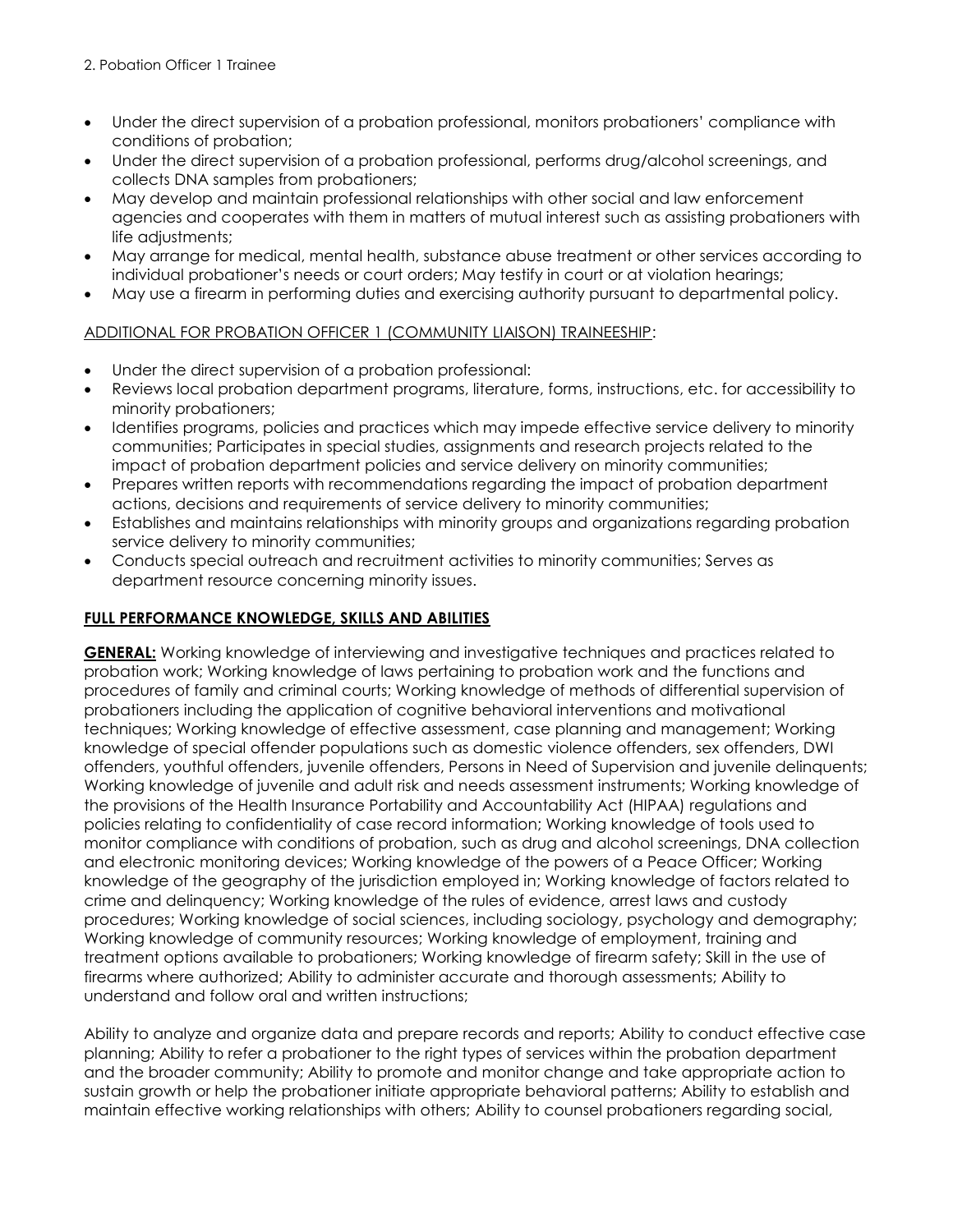- Under the direct supervision of a probation professional, monitors probationers' compliance with conditions of probation;
- Under the direct supervision of a probation professional, performs drug/alcohol screenings, and collects DNA samples from probationers;
- May develop and maintain professional relationships with other social and law enforcement agencies and cooperates with them in matters of mutual interest such as assisting probationers with life adjustments;
- May arrange for medical, mental health, substance abuse treatment or other services according to individual probationer's needs or court orders; May testify in court or at violation hearings;
- May use a firearm in performing duties and exercising authority pursuant to departmental policy.

### ADDITIONAL FOR PROBATION OFFICER 1 (COMMUNITY LIAISON) TRAINEESHIP:

- Under the direct supervision of a probation professional:
- Reviews local probation department programs, literature, forms, instructions, etc. for accessibility to minority probationers;
- Identifies programs, policies and practices which may impede effective service delivery to minority communities; Participates in special studies, assignments and research projects related to the impact of probation department policies and service delivery on minority communities;
- Prepares written reports with recommendations regarding the impact of probation department actions, decisions and requirements of service delivery to minority communities;
- Establishes and maintains relationships with minority groups and organizations regarding probation service delivery to minority communities;
- Conducts special outreach and recruitment activities to minority communities; Serves as department resource concerning minority issues.

## **FULL PERFORMANCE KNOWLEDGE, SKILLS AND ABILITIES**

**GENERAL:** Working knowledge of interviewing and investigative techniques and practices related to probation work; Working knowledge of laws pertaining to probation work and the functions and procedures of family and criminal courts; Working knowledge of methods of differential supervision of probationers including the application of cognitive behavioral interventions and motivational techniques; Working knowledge of effective assessment, case planning and management; Working knowledge of special offender populations such as domestic violence offenders, sex offenders, DWI offenders, youthful offenders, juvenile offenders, Persons in Need of Supervision and juvenile delinquents; Working knowledge of juvenile and adult risk and needs assessment instruments; Working knowledge of the provisions of the Health Insurance Portability and Accountability Act (HIPAA) regulations and policies relating to confidentiality of case record information; Working knowledge of tools used to monitor compliance with conditions of probation, such as drug and alcohol screenings, DNA collection and electronic monitoring devices; Working knowledge of the powers of a Peace Officer; Working knowledge of the geography of the jurisdiction employed in; Working knowledge of factors related to crime and delinquency; Working knowledge of the rules of evidence, arrest laws and custody procedures; Working knowledge of social sciences, including sociology, psychology and demography; Working knowledge of community resources; Working knowledge of employment, training and treatment options available to probationers; Working knowledge of firearm safety; Skill in the use of firearms where authorized; Ability to administer accurate and thorough assessments; Ability to understand and follow oral and written instructions;

Ability to analyze and organize data and prepare records and reports; Ability to conduct effective case planning; Ability to refer a probationer to the right types of services within the probation department and the broader community; Ability to promote and monitor change and take appropriate action to sustain growth or help the probationer initiate appropriate behavioral patterns; Ability to establish and maintain effective working relationships with others; Ability to counsel probationers regarding social,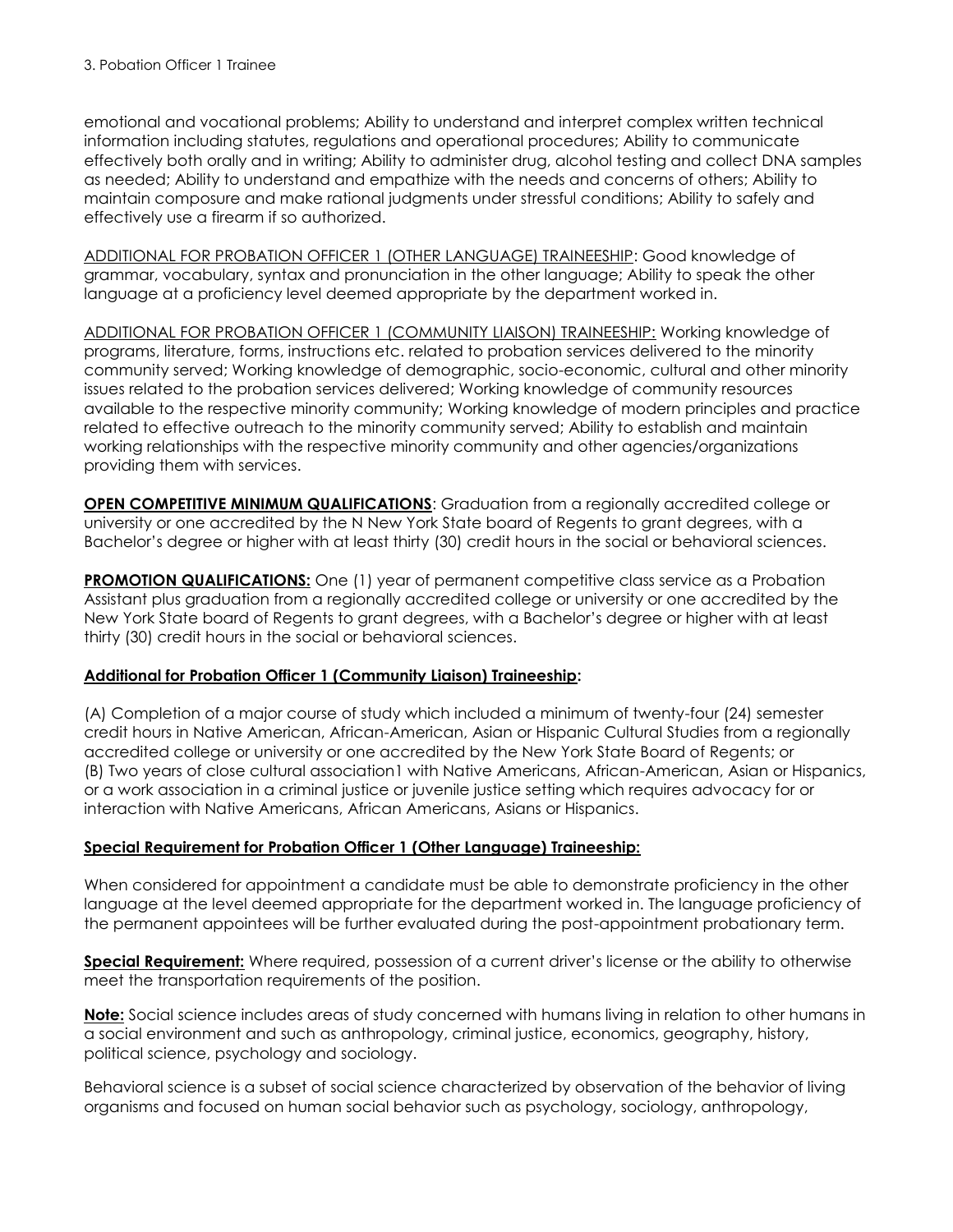emotional and vocational problems; Ability to understand and interpret complex written technical information including statutes, regulations and operational procedures; Ability to communicate effectively both orally and in writing; Ability to administer drug, alcohol testing and collect DNA samples as needed; Ability to understand and empathize with the needs and concerns of others; Ability to maintain composure and make rational judgments under stressful conditions; Ability to safely and effectively use a firearm if so authorized.

ADDITIONAL FOR PROBATION OFFICER 1 (OTHER LANGUAGE) TRAINEESHIP: Good knowledge of grammar, vocabulary, syntax and pronunciation in the other language; Ability to speak the other language at a proficiency level deemed appropriate by the department worked in.

ADDITIONAL FOR PROBATION OFFICER 1 (COMMUNITY LIAISON) TRAINEESHIP: Working knowledge of programs, literature, forms, instructions etc. related to probation services delivered to the minority community served; Working knowledge of demographic, socio-economic, cultural and other minority issues related to the probation services delivered; Working knowledge of community resources available to the respective minority community; Working knowledge of modern principles and practice related to effective outreach to the minority community served; Ability to establish and maintain working relationships with the respective minority community and other agencies/organizations providing them with services.

**OPEN COMPETITIVE MINIMUM QUALIFICATIONS:** Graduation from a regionally accredited college or university or one accredited by the N New York State board of Regents to grant degrees, with a Bachelor's degree or higher with at least thirty (30) credit hours in the social or behavioral sciences.

**PROMOTION QUALIFICATIONS:** One (1) year of permanent competitive class service as a Probation Assistant plus graduation from a regionally accredited college or university or one accredited by the New York State board of Regents to grant degrees, with a Bachelor's degree or higher with at least thirty (30) credit hours in the social or behavioral sciences.

# **Additional for Probation Officer 1 (Community Liaison) Traineeship:**

(A) Completion of a major course of study which included a minimum of twenty-four (24) semester credit hours in Native American, African-American, Asian or Hispanic Cultural Studies from a regionally accredited college or university or one accredited by the New York State Board of Regents; or (B) Two years of close cultural association1 with Native Americans, African-American, Asian or Hispanics, or a work association in a criminal justice or juvenile justice setting which requires advocacy for or interaction with Native Americans, African Americans, Asians or Hispanics.

# **Special Requirement for Probation Officer 1 (Other Language) Traineeship:**

When considered for appointment a candidate must be able to demonstrate proficiency in the other language at the level deemed appropriate for the department worked in. The language proficiency of the permanent appointees will be further evaluated during the post-appointment probationary term.

**Special Requirement:** Where required, possession of a current driver's license or the ability to otherwise meet the transportation requirements of the position.

**Note:** Social science includes areas of study concerned with humans living in relation to other humans in a social environment and such as anthropology, criminal justice, economics, geography, history, political science, psychology and sociology.

Behavioral science is a subset of social science characterized by observation of the behavior of living organisms and focused on human social behavior such as psychology, sociology, anthropology,